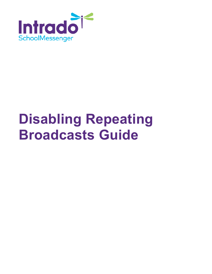

# **Disabling Repeating Broadcasts Guide**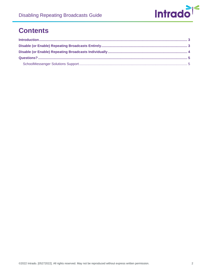

### **Contents**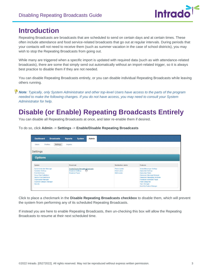

#### <span id="page-2-0"></span>**Introduction**

Repeating Broadcasts are broadcasts that are scheduled to send on certain days and at certain times. These often include attendance and food service-related broadcasts that go out at regular intervals. During periods that your contacts will not need to receive them (such as summer vacation in the case of school districts), you may wish to stop the Repeating Broadcasts from going out.

While many are triggered when a specific import is updated with required data (such as with attendance-related broadcasts), there are some that simply send out automatically without an import-related trigger, so it is always best practice to disable them if they are not needed.

You can disable Repeating Broadcasts entirely, or you can disable individual Repeating Broadcasts while leaving others running.

*Note: Typically, only System Administrator and other top-level Users have access to the parts of the program needed to make the following changes. If you do not have access, you may need to consult your System Administrator for help.*

## <span id="page-2-1"></span>**Disable (or Enable) Repeating Broadcasts Entirely**

You can disable all Repeating Broadcasts at once, and later re-enable them if desired.

|  | To do so, click Admin -> Settings -> Enable/Disable Repeating Broadcasts |  |
|--|--------------------------------------------------------------------------|--|
|  |                                                                          |  |

| <b>Dashboard</b><br><b>Broadcasts</b>                                                                                                                                                                                                        | <b>Reports</b><br><b>Admin</b><br><b>System</b>                                                           |                                                                 |                                                                                                                                                                                                                                                                                 |
|----------------------------------------------------------------------------------------------------------------------------------------------------------------------------------------------------------------------------------------------|-----------------------------------------------------------------------------------------------------------|-----------------------------------------------------------------|---------------------------------------------------------------------------------------------------------------------------------------------------------------------------------------------------------------------------------------------------------------------------------|
| Settings<br>Profiles<br><b>Users</b><br>Settings<br><b>Options</b>                                                                                                                                                                           | Imports                                                                                                   |                                                                 |                                                                                                                                                                                                                                                                                 |
| System                                                                                                                                                                                                                                       | <b>Broadcast</b>                                                                                          | <b>Destination Labels</b>                                       | <b>Features</b>                                                                                                                                                                                                                                                                 |
| <b>Systemwide Alert Message</b><br><b>Customer Settings</b><br><b>Field Definitions</b><br><b>Group Field Definitions</b><br><b>Section Field Definitions</b><br><b>Organization Manager</b><br><b>Guardian Category Manager</b><br>Security | <b>Enable/Disable Repeating Broadcasts</b><br>لسرك<br><b>Broadcast Settings</b><br><b>Broadcast Types</b> | <b>Phone Labels</b><br><b>Email Labels</b><br><b>SMS Labels</b> | <b>SchoolMessenger Settings</b><br><b>Subscriber Settings</b><br>Subscriber Fields<br><b>Classroom Message Manager</b><br><b>Classroom Messaging Template</b><br><b>Facebook Authorized Pages</b><br><b>Feed Categories</b><br><b>Topic Manager</b><br>QuickTip Feature Manager |

Click to place a checkmark in the **Disable Repeating Broadcasts checkbox** to disable them, which will prevent the system from performing any of its scheduled Repeating Broadcasts.

If instead you are here to enable Repeating Broadcasts, then un-checking this box will allow the Repeating Broadcasts to resume at their next scheduled time.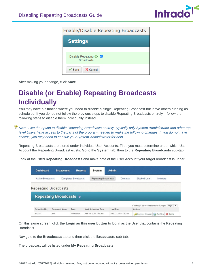

| <b>Enable/Disable Repeating Broadcasts</b>                       |
|------------------------------------------------------------------|
| <b>Settings</b>                                                  |
| Disable Repeating $\bigcirc$ $\blacksquare$<br><b>Broadcasts</b> |
| X Cancel<br>$\mathscr S$ Save                                    |

After making your change, click **Save**.

# <span id="page-3-0"></span>**Disable (or Enable) Repeating Broadcasts Individually**

You may have a situation where you need to disable a single Repeating Broadcast but leave others running as scheduled. If you do, do not follow the previous steps to disable Repeating Broadcasts entirely – follow the following steps to disable them individually instead.

*Note: Like the option to disable Repeating Broadcasts entirely, typically only System Administrator and other toplevel Users have access to the parts of the program needed to make the following changes. If you do not have access, you may need to consult your System Administrator for help.*

Repeating Broadcasts are stored under individual User Accounts. First, you must determine under which User Account the Repeating Broadcast exists. Go to the **System** tab, then to the **Repeating Broadcasts** sub-tab.

Look at the listed **Repeating Broadcasts** and make note of the User Account your target broadcast is under.

| <b>Dashboard</b>  | <b>Broadcasts</b>             | <b>Reports</b>       | System                    | <b>Admin</b> |                      |                                                 |
|-------------------|-------------------------------|----------------------|---------------------------|--------------|----------------------|-------------------------------------------------|
| Active Broadcasts |                               | Completed Broadcasts | Repeating Broadcasts      | Contacts     | <b>Blocked Lists</b> | <b>Monitors</b>                                 |
|                   | <b>Repeating Broadcasts</b>   |                      |                           |              |                      |                                                 |
|                   | <b>Repeating Broadcasts o</b> |                      |                           |              |                      |                                                 |
|                   |                               |                      |                           |              |                      | Showing 1-68 of 68 records on 1 pages. Page 1 * |
| Submitted by      | <b>Broadcast Name</b>         | Type                 | <b>Next Scheduled Run</b> | Last Run     | <b>Actions</b>       |                                                 |
|                   |                               |                      |                           |              |                      |                                                 |

On this same screen, click the **Login as this user button** to log in as the User that contains the Repeating Broadcast.

Navigate to the **Broadcasts** tab and then click the **Broadcasts** sub-tab.

The broadcast will be listed under **My Repeating Broadcasts**.